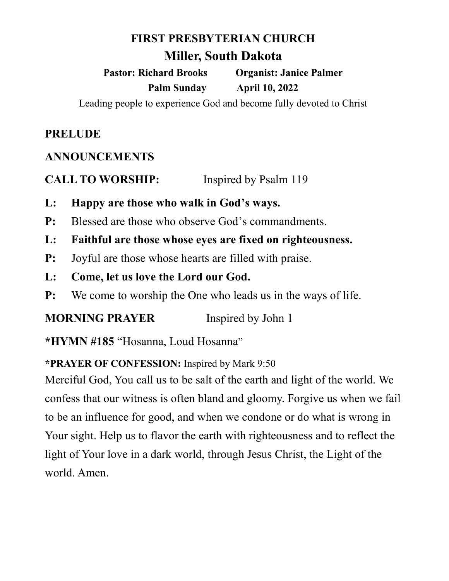### **FIRST PRESBYTERIAN CHURCH**

# **Miller, South Dakota**

**Pastor: Richard Brooks Organist: Janice Palmer Palm Sunday April 10, 2022**

Leading people to experience God and become fully devoted to Christ

# **PRELUDE**

### **ANNOUNCEMENTS**

**CALL TO WORSHIP:** Inspired by Psalm 119

- **L: Happy are those who walk in God's ways.**
- **P:** Blessed are those who observe God's commandments.
- **L: Faithful are those whose eyes are fixed on righteousness.**
- **P:** Joyful are those whose hearts are filled with praise.
- **L: Come, let us love the Lord our God.**
- **P:** We come to worship the One who leads us in the ways of life.

**MORNING PRAYER** Inspired by John 1

**\*HYMN #185** "Hosanna, Loud Hosanna"

### **\*PRAYER OF CONFESSION:** Inspired by Mark 9:50

Merciful God, You call us to be salt of the earth and light of the world. We confess that our witness is often bland and gloomy. Forgive us when we fail to be an influence for good, and when we condone or do what is wrong in Your sight. Help us to flavor the earth with righteousness and to reflect the light of Your love in a dark world, through Jesus Christ, the Light of the world. Amen.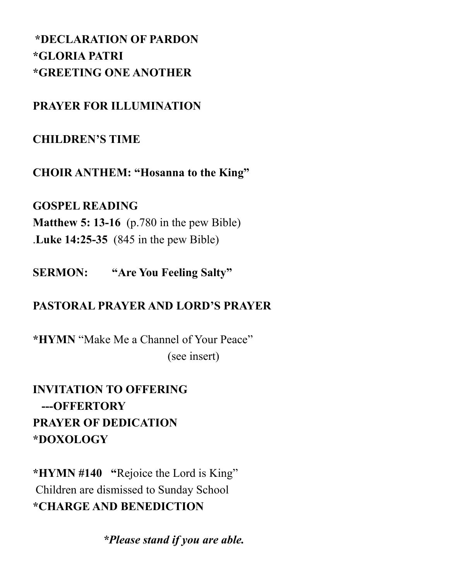# **\*DECLARATION OF PARDON \*GLORIA PATRI \*GREETING ONE ANOTHER**

# **PRAYER FOR ILLUMINATION**

# **CHILDREN'S TIME**

**CHOIR ANTHEM: "Hosanna to the King"**

## **GOSPEL READING**

**Matthew 5: 13-16** (p.780 in the pew Bible) .**Luke 14:25-35** (845 in the pew Bible)

**SERMON: "Are You Feeling Salty"**

# **PASTORAL PRAYER AND LORD'S PRAYER**

**\*HYMN** "Make Me a Channel of Your Peace" (see insert)

**INVITATION TO OFFERING ---OFFERTORY PRAYER OF DEDICATION \*DOXOLOGY**

**\*HYMN #140 "**Rejoice the Lord is King" Children are dismissed to Sunday School **\*CHARGE AND BENEDICTION**

 *\*Please stand if you are able.*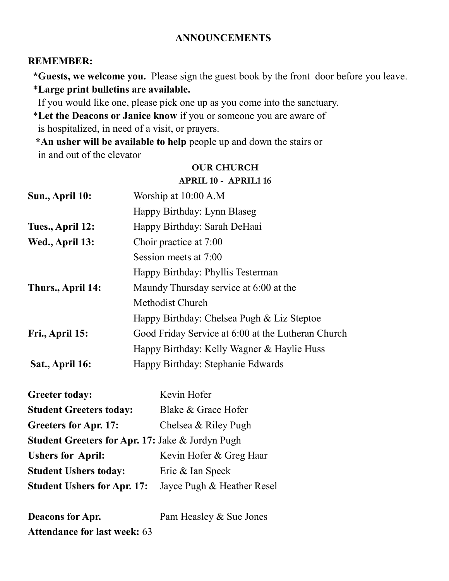### **ANNOUNCEMENTS**

#### **REMEMBER:**

 **\*Guests, we welcome you.** Please sign the guest book by the front door before you leave. \***Large print bulletins are available.** 

If you would like one, please pick one up as you come into the sanctuary.

 \***Let the Deacons or Janice know** if you or someone you are aware of is hospitalized, in need of a visit, or prayers.

 **\*An usher will be available to help** people up and down the stairs or in and out of the elevator

#### **OUR CHURCH**

#### **APRIL 10 - APRIL1 16**

| Sun., April 10:                    | Worship at 10:00 A.M                               |  |  |
|------------------------------------|----------------------------------------------------|--|--|
|                                    |                                                    |  |  |
|                                    | Happy Birthday: Lynn Blaseg                        |  |  |
| Tues., April 12:                   | Happy Birthday: Sarah DeHaai                       |  |  |
| Wed., April 13:                    | Choir practice at 7:00                             |  |  |
|                                    | Session meets at 7:00                              |  |  |
|                                    | Happy Birthday: Phyllis Testerman                  |  |  |
| Thurs., April 14:                  | Maundy Thursday service at 6:00 at the             |  |  |
|                                    | Methodist Church                                   |  |  |
|                                    | Happy Birthday: Chelsea Pugh & Liz Steptoe         |  |  |
| Fri., April 15:                    | Good Friday Service at 6:00 at the Lutheran Church |  |  |
|                                    | Happy Birthday: Kelly Wagner & Haylie Huss         |  |  |
| Sat., April 16:                    | Happy Birthday: Stephanie Edwards                  |  |  |
| <b>Greeter today:</b>              | Kevin Hofer                                        |  |  |
| <b>Student Greeters today:</b>     | Blake & Grace Hofer                                |  |  |
| <b>Greeters for Apr. 17:</b>       | Chelsea & Riley Pugh                               |  |  |
|                                    | Student Greeters for Apr. 17: Jake & Jordyn Pugh   |  |  |
| <b>Ushers for April:</b>           | Kevin Hofer & Greg Haar                            |  |  |
| <b>Student Ushers today:</b>       | Eric & Ian Speck                                   |  |  |
| <b>Student Ushers for Apr. 17:</b> | Jayce Pugh & Heather Resel                         |  |  |
| <b>Deacons for Apr.</b>            | Pam Heasley & Sue Jones                            |  |  |

**Attendance for last week:** 63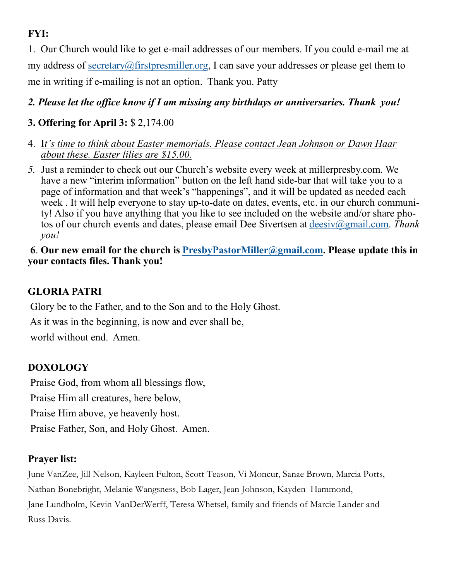# **FYI:**

1. Our Church would like to get e-mail addresses of our members. If you could e-mail me at my address of [secretary@firstpresmiller.org,](mailto:secretary@firstpresmiller.org) I can save your addresses or please get them to me in writing if e-mailing is not an option. Thank you. Patty

### *2. Please let the office know if I am missing any birthdays or anniversaries. Thank you!*

### **3. Offering for April 3:** \$ 2,174.00

- 4. I*t's time to think about Easter memorials. Please contact Jean Johnson or Dawn Haar about these. Easter lilies are \$15.00.*
- *5.* Just a reminder to check out our Church's website every week at millerpresby.com. We have a new "interim information" button on the left hand side-bar that will take you to a page of information and that week's "happenings", and it will be updated as needed each week . It will help everyone to stay up-to-date on dates, events, etc. in our church community! Also if you have anything that you like to see included on the website and/or share photos of our church events and dates, please email Dee Sivertsen at [deesiv@gmail.com.](mailto:deesiv@gmail.com) *Thank you!*

### **6**. **Our new email for the church is [PresbyPastorMiller@gmail.com.](mailto:PresbyPastorMiller@gmail.com) Please update this in your contacts files. Thank you!**

### **GLORIA PATRI**

Glory be to the Father, and to the Son and to the Holy Ghost.

As it was in the beginning, is now and ever shall be,

world without end. Amen.

### **DOXOLOGY**

Praise God, from whom all blessings flow,

Praise Him all creatures, here below,

Praise Him above, ye heavenly host.

Praise Father, Son, and Holy Ghost. Amen.

### **Prayer list:**

June VanZee, Jill Nelson, Kayleen Fulton, Scott Teason, Vi Moncur, Sanae Brown, Marcia Potts, Nathan Bonebright, Melanie Wangsness, Bob Lager, Jean Johnson, Kayden Hammond, Jane Lundholm, Kevin VanDerWerff, Teresa Whetsel, family and friends of Marcie Lander and Russ Davis.